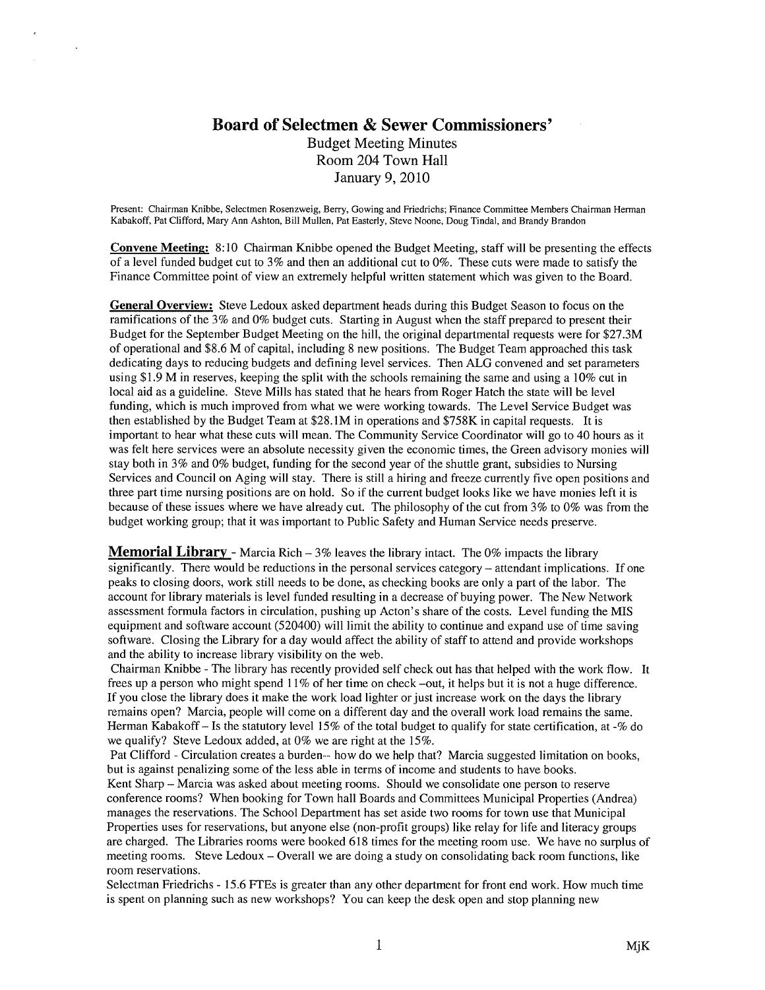## Board of Selectmen & Sewer Commissioners' Budget Meeting Minutes Room 204 Town Hall January 9, 2010

 $\mathbf{r}$ 

Present: Chairman Knibbe, Selectmen Rosenzweig, Berry, Gowing and Friedrichs; Finance Committee Members Chairman Herman Kabakoff, Pat Clifford, Mary Ann Ashton, Bill Mullen, Pat Easterly, Steve Noone, Doug Tindal, and Brandy Brandon

Convene Meeting: 8:10 Chairman Knibbe opened the Budget Meeting, staff will be presenting the effects of a level funded budget cut to 3% and then an additional cut to 0%. These cuts were made to satisfy the Finance Committee point of view an extremely helpful written statement which was given to the Board.

General Overview: Steve Ledoux asked department heads during this Budget Season to focus on the ramifications of the 3% and 0% budget cuts. Starting in August when the staff prepared to present their Budget for the September Budget Meeting on the hill, the original departmental requests were for \$27.3M of operational and \$8.6 M of capital, including 8 new positions. The Budget Team approached this task dedicating days to reducing budgets and defining level services. Then ALG convened and set parameters using \$1.9 M in reserves, keeping the split with the schools remaining the same and using a 10% cut in local aid as a guideline. Steve Mills has stated that he hears from Roger Hatch the state will be level funding, which is much improved from what we were working towards. The Level Service Budget was then established by the Budget Team at \$28.IM in operations and \$758K in capital requests. It is important to hear what these cuts will mean. The Community Service Coordinator will go to 40 hours as it was felt here services were an absolute necessity given the economic times, the Green advisory monies will stay both in 3% and 0% budget, funding for the second year of the shuttle grant, subsidies to Nursing Services and Council on Aging will stay. There is still a hiring and freeze currently five open positions and three part time nursing positions are on hold. So if the current budget looks like we have monies left it is because of these issues where we have already cut. The philosophy of the cut from 3% to 0% was from the budget working group; that it was important to Public Safety and Human Service needs preserve.

**Memorial Library** - Marcia Rich  $-3\%$  leaves the library intact. The 0% impacts the library significantly. There would be reductions in the personal services category — attendant implications. If one peaks to closing doors, work still needs to be done, as checking books are only a part of the labor. The account for library materials is level funded resulting in a decrease of buying power. The New Network assessment formula factors in circulation, pushing up Acton's share of the costs. Level funding the MIS equipment and software account (520400) will limit the ability to continue and expand use of time saving software. Closing the Library for a day would affect the ability of staff to attend and provide workshops and the ability to increase library visibility on the web.

Chairman Knibbe -The library has recently provided self check out has that helped with the work flow. It frees up a person who might spend 11% of her time on check —out, it helps but it is not a huge difference. If you close the library does it make the work load lighter or just increase work on the days the library remains open? Marcia, people will come on a different day and the overall work load remains the same. Herman Kabakoff — Is the statutory level 15% of the total budget to qualify for state certification, at -% do we qualify? Steve Ledoux added, at 0% we are right at the 15%.

Pat Clifford -Circulation creates a burden-- how do we help that? Marcia suggested limitation on books, but is against penalizing some of the less able in terms of income and students to have books. Kent Sharp — Marcia was asked about meeting rooms. Should we consolidate one person to reserve conference rooms? When booking for Town hall Boards and Committees Municipal Properties (Andrea) manages the reservations. The School Department has set aside two rooms for town use that Municipal Properties uses for reservations, but anyone else (non-profit groups) like relay for life and literacy groups are charged. The Libraries rooms were booked 618 times for the meeting room use. We have no surplus of meeting rooms. Steve Ledoux — Overall we are doing a study on consolidating back room functions, like room reservations.

Selectman Friedrichs - 15.6 FTEs is greater than any other department for front end work. How much time is spent on planning such as new workshops? You can keep the desk open and stop planning new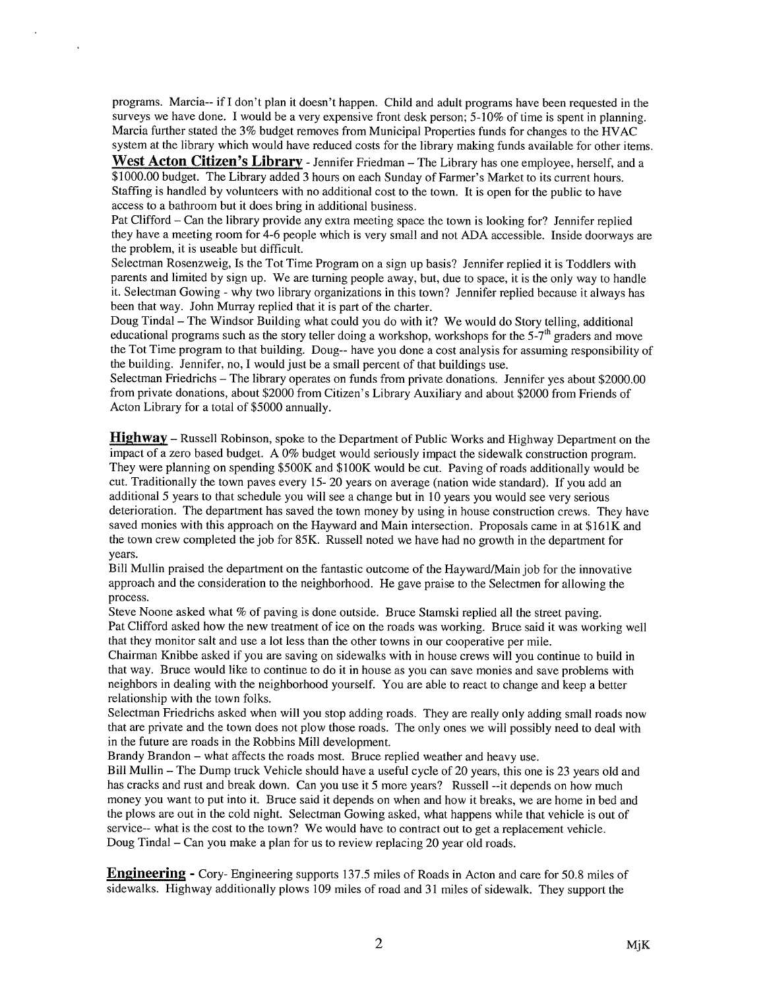programs. Marcia-- if I don't plan it doesn't happen. Child and adult programs have been requested in the surveys we have done. I would be a very expensive front desk person; 5-10% of time is spent in planning. Marcia further stated the 3% budget removes from Municipal Properties funds for changes to the HVAC system at the library which would have reduced costs for the library making funds available for other items.

 $\epsilon$ 

West Acton Citizen's Library - Jennifer Friedman - The Library has one employee, herself, and a \$1000.00 budget. The Library added 3 hours on each Sunday of Farmer's Market to its current hours. Staffing is handled by volunteers with no additional cost to the town. It is open for the public to have access to a bathroom but it does bring in additional business.

Pat Clifford — Can the library provide any extra meeting space the town is looking for? Jennifer replied they have a meeting room for 4-6 people which is very small and not ADA accessible. Inside doorways are the problem, it is useable but difficult.

Selectman Rosenzweig, Is the Tot Time Program on a sign up basis? Jennifer replied it is Toddlers with parents and limited by sign up. We are turning people away, but, due to space, it is the only way to handle it. Selectman Gowing - why two library organizations in this town? Jennifer replied because it always has been that way. John Murray replied that it is part of the charter.

Doug Tindal — The Windsor Building what could you do with it? We would do Story telling, additional educational programs such as the story teller doing a workshop, workshops for the  $5-7<sup>th</sup>$  graders and move the Tot Time program to that building. Doug-- have you done a cost analysis for assuming responsibility of the building. Jennifer, no, I would just be a small percent of that buildings use.

Selectman Friedrichs — The library operates on funds from private donations. Jennifer yes about \$2000.00 from private donations, about \$2000 from Citizen's Library Auxiliary and about \$2000 from Friends of Acton Library for a total of \$5000 annually.

**Highway** – Russell Robinson, spoke to the Department of Public Works and Highway Department on the impact of a zero based budget. A 0% budget would seriously impact the sidewalk construction program. They were planning on spending \$500K and \$IOOK would be cut. Paving of roads additionally would be cut. Traditionally the town paves every 15- 20 years on average (nation wide standard). If you add an additional 5 years to that schedule you will see a change but in 10 years you would see very serious deterioration. The department has saved the town money by using in house construction crews. They have saved monies with this approach on the Hayward and Main intersection. Proposals came in at \$161K and the town crew completed the job for 85K. Russell noted we have had no growth in the department for years.

Bill Mullin praised the department on the fantastic outcome of the Hayward/Main job for the innovative approach and the consideration to the neighborhood. He gave praise to the Selectmen for allowing the process.

Steve Noone asked what % of paving is done outside. Bruce Stamski replied all the street paving. Pat Clifford asked how the new treatment of ice on the roads was working. Bruce said it was working well that they monitor salt and use a lot less than the other towns in our cooperative per mile.

Chairman Knibbe asked if you are saving on sidewalks with in house crews will you continue to build in that way. Bruce would like to continue to do it in house as you can save monies and save problems with neighbors in dealing with the neighborhood yourself. You are able to react to change and keep a better relationship with the town folks.

Selectman Friedrichs asked when will you stop adding roads. They are really only adding small roads now that are private and the town does not plow those roads. The only ones we will possibly need to deal with in the future are roads in the Robbins Mill development.

Brandy Brandon — what affects the roads most. Bruce replied weather and heavy use.

Bill Mullin — The Dump truck Vehicle should have a useful cycle of 20 years, this one is 23 years old and has cracks and rust and break down. Can you use it 5 more years? Russell --it depends on how much money you want to put into it. Bruce said it depends on when and how it breaks, we are home in bed and the plows are out in the cold night. Selectman Gowing asked, what happens while that vehicle is out of service-- what is the cost to the town? We would have to contract out to get a replacement vehicle. Doug Tindal — Can you make a plan for us to review replacing 20 year old roads.

Engineering - Cory- Engineering supports 137.5 miles of Roads in Acton and care for 50.8 miles of sidewalks. Highway additionally plows 109 miles of road and 31 miles of sidewalk. They support the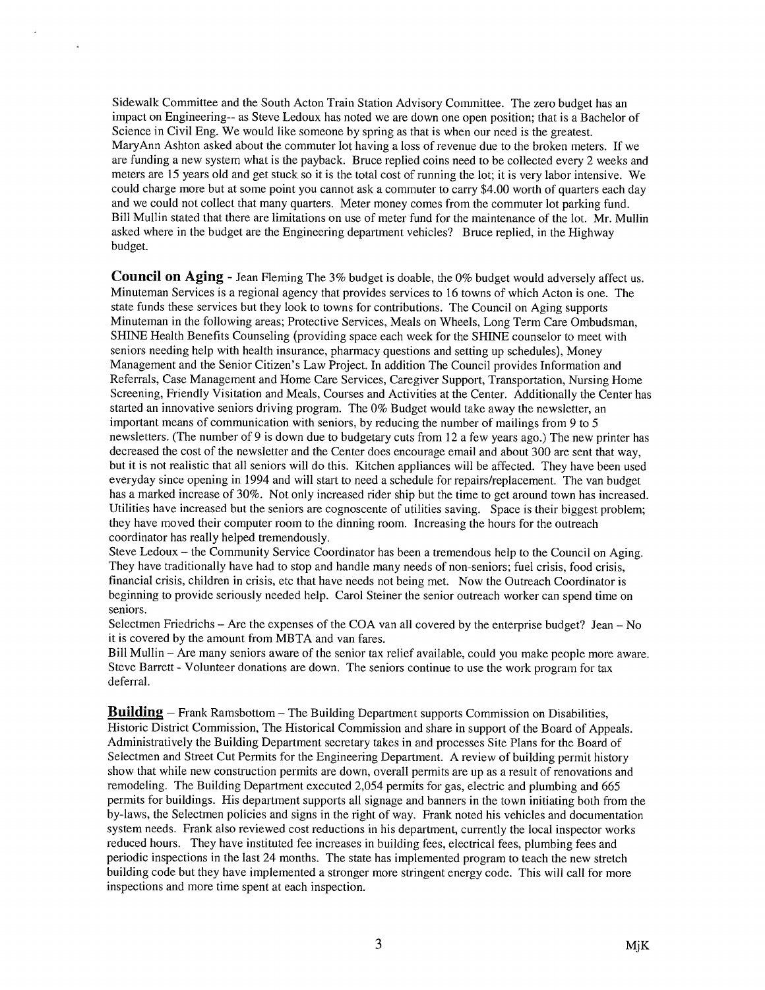Sidewalk Committee and the South Acton Train Station Advisory Committee. The zero budget has an impact on Engineering-- as Steve Ledoux has noted we are down one open position; that is a Bachelor of Science in Civil Eng. We would like someone by spring as that is when our need is the greatest. MaryAnn Ashton asked about the commuter lot having a loss of revenue due to the broken meters. If we are funding a new system what is the payback. Bruce replied coins need to be collected every 2 weeks and meters are 15 years old and get stuck so it is the total cost of running the lot; it is very labor intensive. We could charge more but at some point you cannot ask a commuter to carry \$4.00 worth of quarters each day and we could not collect that many quarters. Meter money comes from the commuter lot parking fund. Bill Mullin stated that there are limitations on use of meter fund for the maintenance of the lot. Mr. Mullin asked where in the budget are the Engineering department vehicles? Bruce replied, in the Highway budget.

 $\ddot{\phantom{a}}$ 

**Council on Aging - Jean Fleming The 3% budget is doable, the 0% budget would adversely affect us.** Minuteman Services is a regional agency that provides services to 16 towns of which Acton is one. The state funds these services but they look to towns for contributions. The Council on Aging supports Minuteman in the following areas; Protective Services, Meals on Wheels, Long Term Care Ombudsman, SHINE Health Benefits Counseling (providing space each week for the SHINE counselor to meet with seniors needing help with health insurance, pharmacy questions and setting up schedules), Money Management and the Senior Citizen's Law Project. In addition The Council provides Information and Referrals, Case Management and Home Care Services, Caregiver Support, Transportation, Nursing Home Screening, Friendly Visitation and Meals, Courses and Activities at the Center. Additionally the Center has started an innovative seniors driving program. The 0% Budget would take away the newsletter, an important means of communication with seniors, by reducing the number of mailings from 9 to 5 newsletters. (The number of 9 is down due to budgetary cuts from 12 a few years ago.) The new printer has decreased the cost of the newsletter and the Center does encourage email and about 300 are sent that way, but it is not realistic that all seniors will do this. Kitchen appliances will be affected. They have been used everyday since opening in 1994 and will start to need a schedule for repairs/replacement. The van budget has a marked increase of 30%. Not only increased rider ship but the time to get around town has increased. Utilities have increased but the seniors are cognoscente of utilities saving. Space is their biggest problem; they have moved their computer room to the dinning room. Increasing the hours for the outreach coordinator has really helped tremendously.

Steve Ledoux — the Community Service Coordinator has been a tremendous help to the Council on Aging. They have traditionally have had to stop and handle many needs of non-seniors; fuel crisis, food crisis, financial crisis, children in crisis, etc that have needs not being met. Now the Outreach Coordinator is beginning to provide seriously needed help. Carol Steiner the senior outreach worker can spend time on seniors.

Selectmen Friedrichs — Are the expenses of the COA van all covered by the enterprise budget? Jean — No it is covered by the amount from MBTA and van fares.

Bill Mullin — Are many seniors aware of the senior tax relief available, could you make people more aware. Steve Barrett -Volunteer donations are down. The seniors continue to use the work program for tax deferral.

**Building** – Frank Ramsbottom – The Building Department supports Commission on Disabilities, Historic District Commission, The Historical Commission and share in support of the Board of Appeals. Administratively the Building Department secretary takes in and processes Site Plans for the Board of Selectmen and Street Cut Permits for the Engineering Department. A review of building permit history show that while new construction permits are down, overall permits are up as a result of renovations and remodeling. The Building Department executed 2,054 permits for gas, electric and plumbing and 665 permits for buildings. His department supports all signage and banners in the town initiating both from the by-laws, the Selectmen policies and signs in the right of way. Frank noted his vehicles and documentation system needs. Frank also reviewed cost reductions in his department, currently the local inspector works reduced hours. They have instituted fee increases in building fees, electrical fees, plumbing fees and periodic inspections in the last 24 months. The state has implemented program to teach the new stretch building code but they have implemented a stronger more stringent energy code. This will call for more inspections and more time spent at each inspection.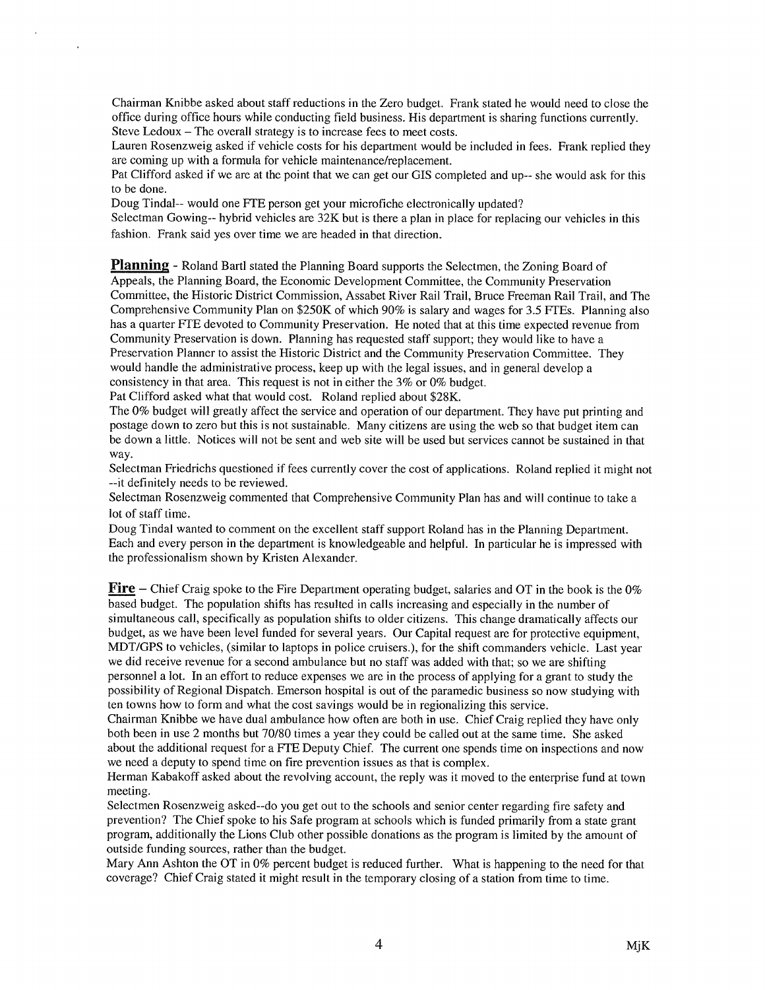Chairman Knibbe asked about staff reductions in the Zero budget. Frank stated he would need to close the office during office hours while conducting field business. His department is sharing functions currently. Steve Ledoux — The overall strategy is to increase fees to meet costs.

Lauren Rosenzweig asked if vehicle costs for his department would be included in fees. Frank replied they are coming up with a formula for vehicle maintenance/replacement.

Pat Clifford asked if we are at the point that we can get our GIS completed and up-- she would ask for this to be done.

Doug Tindal-- would one FTE person get your microfiche electronically updated?

 $\overline{\phantom{a}}$ 

Selectman Gowing-- hybrid vehicles are 32K but is there a plan in place for replacing our vehicles in this fashion. Frank said yes over time we are headed in that direction,

**Planning** - Roland Bartl stated the Planning Board supports the Selectmen, the Zoning Board of Appeals, the Planning Board, the Economic Development Committee, the Community Preservation Committee, the Historic District Commission, Assabet River Rail Trail, Bruce Freeman Rail Trail, and The Comprehensive Community Plan on \$250K of which 90% is salary and wages for 3.5 FTEs. Planning also has a quarter FTE devoted to Community Preservation. He noted that at this time expected revenue from Community Preservation is down. Planning has requested staff support; they would like to have a Preservation Planner to assist the Historic District and the Community Preservation Committee. They would handle the administrative process, keep up with the legal issues, and in general develop a consistency in that area. This request is not in either the 3% or 0% budget.

Pat Clifford asked what that would cost. Roland replied about \$28K.

The 0% budget will greatly affect the service and operation of our department. They have put printing and postage down to zero but this is not sustainable. Many citizens are using the web so that budget item can be down a little. Notices will not be sent and web site will be used but services cannot be sustained in that way.

Selectman Friedrichs questioned if fees currently cover the cost of applications. Roland replied it might not --it definitely needs to be reviewed.

Selectman Rosenzweig commented that Comprehensive Community Plan has and will continue to take a lot of staff time.

Doug Tindal wanted to comment on the excellent staff support Roland has in the Planning Department. Each and every person in the department is knowledgeable and helpful. In particular he is impressed with the professionalism shown by Kristen Alexander.

**Fire** – Chief Craig spoke to the Fire Department operating budget, salaries and OT in the book is the  $0\%$ based budget. The population shifts has resulted in calls increasing and especially in the number of simultaneous call, specifically as population shifts to older citizens. This change dramatically affects our budget, as we have been level funded for several years. Our Capital request are for protective equipment, MDT/GPS to vehicles, (similar to laptops in police cruisers.), for the shift commanders vehicle. Last year we did receive revenue for a second ambulance but no staff was added with that; so we are shifting personnel a lot. In an effort to reduce expenses we are in the process of applying for a grant to study the possibility of Regional Dispatch. Emerson hospital is out of the paramedic business so now studying with ten towns how to form and what the cost savings would be in regionalizing this service.

Chairman Knibbe we have dual ambulance how often are both in use. Chief Craig replied they have only both been in use 2 months but 70/80 times a year they could be called out at the same time. She asked about the additional request for a FTE Deputy Chief. The current one spends time on inspections and now we need a deputy to spend time on fire prevention issues as that is complex.

Herman Kabakoff asked about the revolving account, the reply was it moved to the enterprise fund at town meeting.

Selectmen Rosenzweig asked--do you get out to the schools and senior center regarding fire safety and prevention? The Chief spoke to his Safe program at schools which is funded primarily from a state grant program, additionally the Lions Club other possible donations as the program is limited by the amount of outside funding sources, rather than the budget.

Mary Ann Ashton the OT in 0% percent budget is reduced further. What is happening to the need for that coverage? Chief Craig stated it might result in the temporary closing of a station from time to time.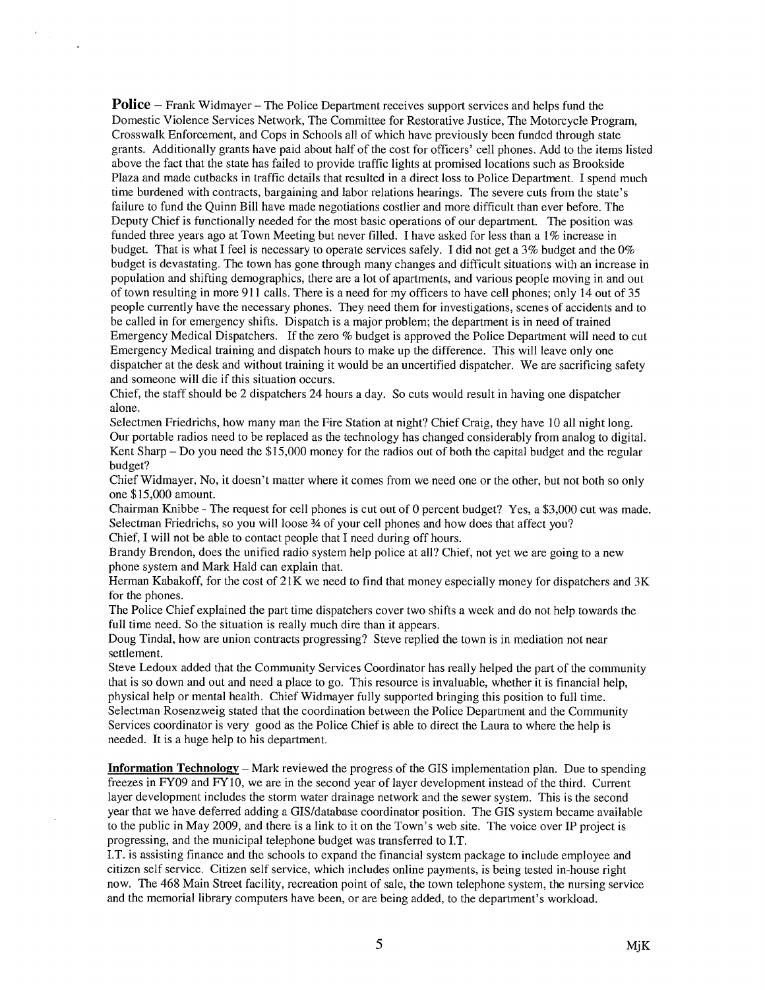**Police** – Frank Widmayer – The Police Department receives support services and helps fund the Domestic Violence Services Network, The Committee for Restorative Justice, The Motorcycle Program, Crosswalk Enforcement, and Cops in Schools all of which have previously been funded through state grants. Additionally grants have paid about half of the cost for officers' cell phones. Add to the items listed above the fact that the state has failed to provide traffic lights at promised locations such as Brookside Plaza and made cutbacks in traffic details that resulted in a direct loss to Police Department. I spend much time burdened with contracts, bargaining and labor relations hearings. The severe cuts from the state's failure to fund the Quinn Bill have made negotiations costlier and more difficult than ever before. The Deputy Chief is functionally needed for the most basic operations of our department. The position was funded three years ago at Town Meeting but never filled. I have asked for less than a 1% increase in budget. That is what I feel is necessary to operate services safely. I did not get a 3% budget and the 0% budget is devastating. The town has gone through many changes and difficult situations with an increase in population and shifting demographics, there are a lot of apartments, and various people moving in and out of town resulting in more 91 <sup>1</sup> calls. There is a need for my officers to have cell phones; only 14 out of 35 people currently have the necessary phones. They need them for investigations, scenes of accidents and to be called in for emergency shifts. Dispatch is a major problem; the department is in need of trained Emergency Medical Dispatchers. If the zero % budget is approved the Police Department will need to cut Emergency Medical training and dispatch hours to make up the difference. This will leave only one dispatcher at the desk and without training it would be an uncertified dispatcher. We are sacrificing safety and someone will die if this situation occurs.

Chief, the staff should be 2 dispatchers 24 hours a day. So cuts would result in having one dispatcher alone.

Selectmen Friedrichs, how many man the Fire Station at night? Chief Craig, they have 10 all night long. Our portable radios need to be replaced as the technology has changed considerably from analog to digital. Kent Sharp — Do you need the \$15,000 money for the radios Out of both the capital budget and the regular budget?

Chief Widmayer, No, it doesn't matter where it comes from we need one or the other, but not both so only one \$15,000 amount.

Chairman Knibbe - The request for cell phones is cut out of 0 percent budget? Yes, a \$3,000 cut was made. Selectman Friedrichs, so you will loose ¾ of your cell phones and how does that affect you?

Chief, I will not be able to contact people that I need during off hours.

Brandy Brendon, does the unified radio system help police at all? Chief, not yet we are going to a new phone system and Mark Raid can explain that.

Herman Kabakoff, for the cost of 21K we need to find that money especially money for dispatchers and 3K for the phones.

The Police Chief explained the part time dispatchers cover two shifts a week and do not help towards the full time need. So the situation is really much dire than it appears.

Doug Tindal, how are union contracts progressing? Steve replied the town is in mediation not near settlement.

Steve Ledoux added that the Community Services Coordinator has really helped the part of the community that is so down and out and need a place to go. This resource is invaluable, whether it is financial help, physical help or mental health. Chief Widmayer fully supported bringing this position to full time. Selectman Rosenzweig stated that the coordination between the Police Department and the Community Services coordinator is very good as the Police Chief is able to direct the Laura to where the help is needed. It is a huge help to his department.

Information Technology — Mark reviewed the progress of the GIS implementation plan. Due to spending freezes in FY09 and FY10, we are in the second year of layer development instead of the third. Current layer development includes the storm water drainage network and the sewer system. This is the second year that we have deferred adding a GIS/database coordinator position. The GIS system became available to the public in May 2009, and there is a link to it on the Town's web site. The voice over IP project is progressing, and the municipal telephone budget was transferred to I.T.

I.T. is assisting finance and the schools to expand the financial system package to include employee and citizen self service. Citizen self service, which includes online payments, is being tested in-house right now. The 468 Main Street facility, recreation point of sale, the town telephone system, the nursing service and the memorial library computers have been, or are being added, to the department's workload.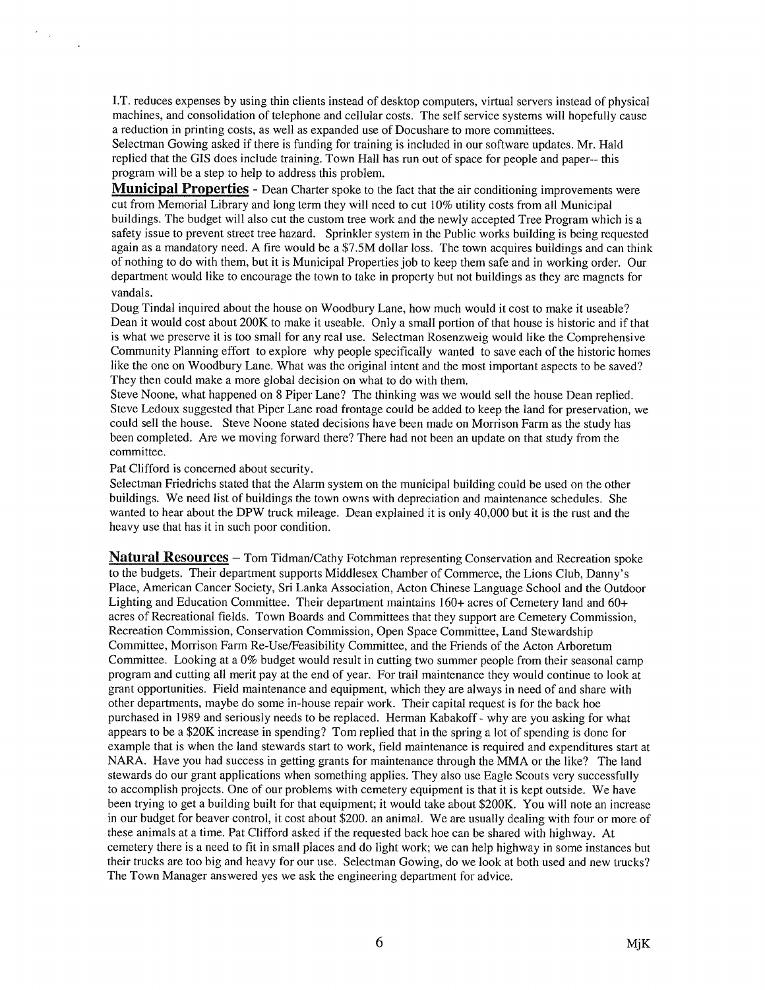J.T. reduces expenses by using thin clients instead of desktop computers, virtual servers instead of physical machines, and consolidation of telephone and cellular costs. The self service systems will hopefully cause a reduction in printing costs, as well as expanded use of Docushare to more committees.

Selectman Gowing asked if there is funding for training is included in our software updates. Mr. Hald replied that the GIS does include training. Town Hall has run out of space for people and paper— this program will be a step to help to address this problem.

Municipal Properties - Dean Charter spoke to the fact that the air conditioning improvements were cut from Memorial Library and long term they will need to cut 10% utility costs from all Municipal buildings. The budget will also cut the custom tree work and the newly accepted Tree Program which is a safety issue to prevent street tree hazard. Sprinkler system in the Public works building is being requested again as a mandatory need. A fire would be a \$7.5M dollar loss. The town acquires buildings and can think of nothing to do with them, but it is Municipal Properties job to keep them safe and in working order. Our department would like to encourage the town to take in property but not buildings as they are magnets for vandals.

Doug Tindal inquired about the house on Woodbury Lane, how much would it cost to make it useable? Dean it would cost about 200K to make it useable. Only a small portion of that house is historic and if that is what we preserve it is too small for any real use. Selectman Rosenzweig would like the Comprehensive Community Planning effort to explore why people specifically wanted to save each of the historic homes like the one on Woodbury Lane. What was the original intent and the most important aspects to be saved? They then could make a more global decision on what to do with them.

Steve Noone, what happened on 8 Piper Lane? The thinking was we would sell the house Dean replied. Steve Ledoux suggested that Piper Lane road frontage could be added to keep the land for preservation, we could sell the house. Steve Noone stated decisions have been made on Morrison Farm as the study has been completed. Are we moving forward there? There had not been an update on that study from the committee.

Pat Clifford is concerned about security.

 $\sim$ 

Selectman Friedrichs stated that the Alarm system on the municipal building could be used on the other buildings. We need list of buildings the town owns with depreciation and maintenance schedules. She wanted to hear about the DPW truck mileage. Dean explained it is only 40,000 but it is the rust and the heavy use that has it in such poor condition.

Natural Resources - Tom Tidman/Cathy Fotchman representing Conservation and Recreation spoke to the budgets. Their department supports Middlesex Chamber of Commerce, the Lions Club, Danny's Place, American Cancer Society, Sri Lanka Association, Acton Chinese Language School and the Outdoor Lighting and Education Committee. Their department maintains 160+ acres of Cemetery land and 60+ acres of Recreational fields. Town Boards and Committees that they support are Cemetery Commission, Recreation Commission, Conservation Commission, Open Space Committee, Land Stewardship Committee, Morrison Farm Re-Use/Feasibility Committee, and the Friends of the Acton Arboretum Committee. Looking at a 0% budget would result in cutting two summer people from their seasonal camp program and cutting all merit pay at the end of year. For trail maintenance they would continue to look at grant opportunities. Field maintenance and equipment, which they are always in need of and share with other departments, maybe do some in-house repair work. Their capital request is for the back hoe purchased in 1989 and seriously needs to be replaced. Herman Kabakoff - why are you asking for what appears to be a \$20K increase in spending? Tom replied that in the spring a lot of spending is done for example that is when the land stewards start to work, field maintenance is required and expenditures start at NARA. Have you had success in getting grants for maintenance through the MMA or the like? The land stewards do our grant applications when something applies. They also use Eagle Scouts very successfully to accomplish projects. One of our problems with cemetery equipment is that it is kept outside. We have been trying to get a building built for that equipment; it would take about \$200K. You will note an increase in our budget for beaver control, it cost about \$200. an animal. We are usually dealing with four or more of these animals at a time. Pat Clifford asked if the requested back hoe can be shared with highway. At cemetery there is a need to fit in small places and do light work; we can help highway in some instances but their trucks are too big and heavy for our use. Selectman Gowing, do we look at both used and new trucks? The Town Manager answered yes we ask the engineering department for advice.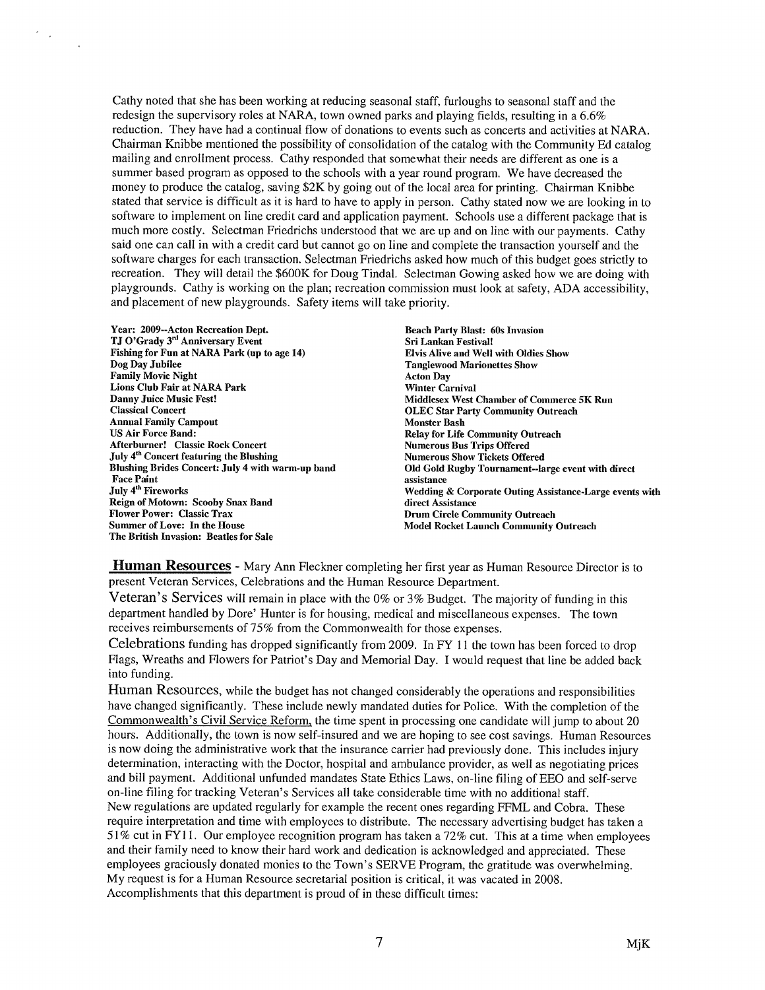Cathy noted that she has been working at reducing seasonal staff, furloughs to seasonal staff and the redesign the supervisory roles at NARA, town owned parks and playing fields, resulting in a 6.6% reduction. They have had a continual flow of donations to events such as concerts and activities at NARA. Chairman Knibbe mentioned the possibility of consolidation of the catalog with the Community Ed catalog mailing and enrollment process. Cathy responded that somewhat their needs are different as one is a summer based program as opposed to the schools with a year round program. We have decreased the money to produce the catalog, saving \$2K by going out of the local area for printing. Chairman Knibbe stated that service is difficult as it is hard to have to apply in person. Cathy stated now we are looking in to software to implement on line credit card and application payment. Schools use a different package that is much more costly. Selectman Friedrichs understood that we are up and on line with our payments. Cathy said one can call in with a credit card but cannot go on line and complete the transaction yourself and the software charges for each transaction. Selectman Friedrichs asked how much of this budget goes strictly to recreation. They will detail the \$600K for Doug Tindal. Selectman Gowing asked how we are doing with playgrounds. Cathy is working on the plan; recreation commission must look at safety, ADA accessibility, and placement of new playgrounds. Safety items will take priority.

Year: 2009--Acton Recreation Dept<mark>.</mark><br>TJ O'Grady 3<sup>rd</sup> Anniversary Event Fishing for Fun at NARA Park (up to age 14) Dog Day Jubilee Family Movie Night Lions Club Fair at NARA Park Danny Juice Music Fest! Classical Concert Annual Family Campout US Air Force Band: Afterburner! Classic Rock Concert July 4<sup>th</sup> Concert featuring the Blushing Blushing Brides Concert: July 4 with warm-up band Face Paint July 4<sup>th</sup> Fireworks Reign of Motown: Scooby Snax Band Flower Power: Classic Trax Summer of Love: In the House The British Invasion: Beatles for Sale

 $\mathcal{E}_{\text{max}}$ 

Beach Party Blast: 60s Invasion Sri Lankan Festival! Elvis Alive and Well with Oldies Show Tanglewood Marionettes Show Acton Day Winter Carnival Middlesex West Chamber of Commerce 5K Run OLEC Star Party Community Outreach Monster Bash Relay for Life Community Outreach Numerous Bus Trips Offered Numerous Show Tickets Offered Old Gold Rugby Tournament--large event with direct assistance Wedding & Corporate Outing Assistance-Large events with direct Assistance Drum Circle Community Outreach Model Rocket Launch Community Outreach

Human Resources - Mary Ann Fleckner completing her first year as Human Resource Director is to present Veteran Services, Celebrations and the Human Resource Department.

Veteran's Services will remain in place with the 0% or 3% Budget. The majority of funding in this department handled by Dore' Hunter is for housing, medical and miscellaneous expenses. The town receives reimbursements of 75% from the Commonwealth for those expenses.

Celebrations funding has dropped significantly from 2009. In FY 11 the town has been forced to drop Flags, Wreaths and Flowers for Patriot's Day and Memorial Day. I would request that line be added back into funding.

Human Resources, while the budget has not changed considerably the operations and responsibilities have changed significantly. These include newly mandated duties for Police. With the completion of the Commonwealth's Civil Service Reform, the time spent in processing one candidate will jump to about 20 hours. Additionally, the town is now self-insured and we are hoping to see cost savings. Human Resources is now doing the administrative work that the insurance carrier had previously done. This includes injury determination, interacting with the Doctor, hospital and ambulance provider, as well as negotiating prices and bill payment. Additional unfunded mandates State Ethics Laws, on-line filing of EEO and self-serve on-line filing for tracking Veteran's Services all take considerable time with no additional staff.

New regulations are updated regularly for example the recent ones regarding FFML and Cobra. These require interpretation and time with employees to distribute. The necessary advertising budget has taken a 51% cut in FY11. Our employee recognition program has taken a 72% cut. This at a time when employees and their family need to know their hard work and dedication is acknowledged and appreciated. These employees graciously donated monies to the Town's SERVE Program, the gratitude was overwhelming. My request is for a Human Resource secretarial position is critical, it was vacated in 2008. Accomplishments that this department is proud of in these difficult times: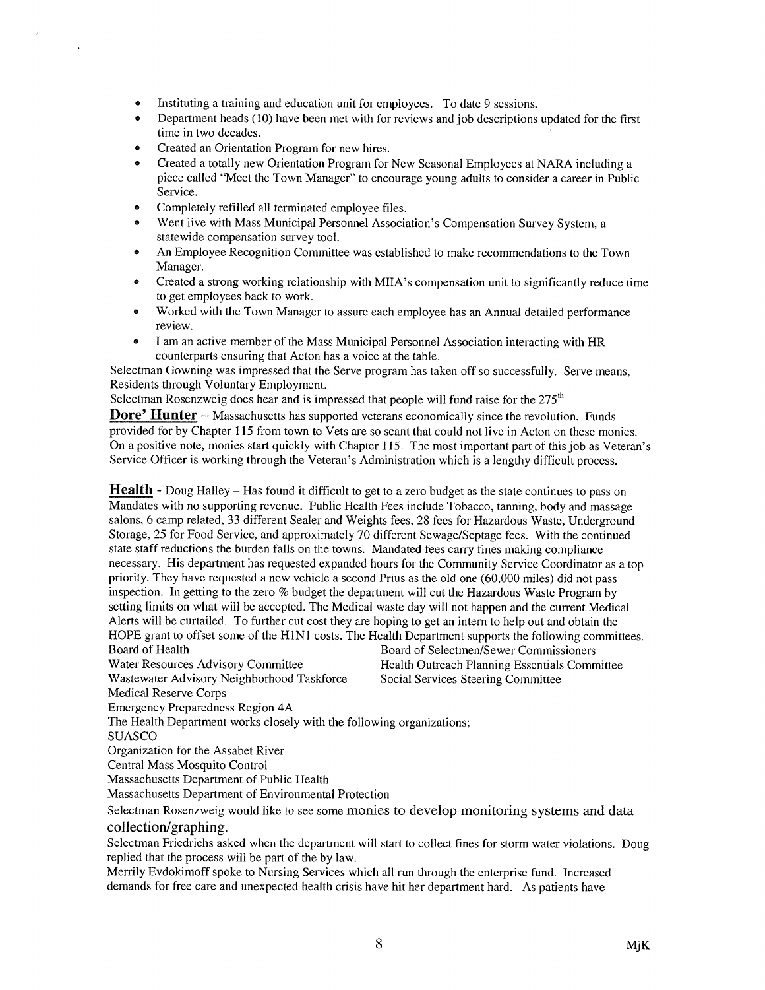- Instituting a training and education unit for employees. To date 9 sessions.
- Department heads (10) have been met with for reviews and job descriptions updated for the first time in two decades.
- Created an Orientation Program for new hires.
- Created a totally new Orientation Program for New Seasonal Employees at NARA including a piece called "Meet the Town Manager" to encourage young adults to consider a career in Public Service.
- Completely refilled all terminated employee files.
- Went live with Mass Municipal Personnel Association's Compensation Survey System, a statewide compensation survey tool.
- An Employee Recognition Committee was established to make recommendations to the Town Manager.
- Created a strong working relationship with MIIA's compensation unit to significantly reduce time to get employees back to work.
- Worked with the Town Manager to assure each employee has an Annual detailed performance review.
- I am an active member of the Mass Municipal Personnel Association interacting with HR counterparts ensuring that Acton has a voice at the table.

Selectman Gowning was impressed that the Serve program has taken off so successfully. Serve means, Residents through Voluntary Employment.

Selectman Rosenzweig does hear and is impressed that people will fund raise for the  $275<sup>th</sup>$ 

**Dore' Hunter** – Massachusetts has supported veterans economically since the revolution. Funds provided for by Chapter 115 from town to Vets are so scant that could not live in Acton on these monies. On a positive note, monies start quickly with Chapter 115. The most important part of this job as Veteran's Service Officer is working through the Veteran's Administration which is a lengthy difficult process.

**Health** - Doug Halley – Has found it difficult to get to a zero budget as the state continues to pass on Mandates with no supporting revenue. Public Health Fees include Tobacco, tanning, body and massage salons, 6 camp related, 33 different Sealer and Weights fees, 28 fees for Hazardous Waste, Underground Storage, 25 for Food Service, and approximately 70 different Sewage/Septage fees. With the continued state staff reductions the burden falls on the towns. Mandated fees carry fines making compliance necessary. His department has requested expanded hours for the Community Service Coordinator as a top priority. They have requested a new vehicle a second Prius as the old one (60,000 miles) did not pass inspection. In getting to the zero % budget the department will cut the Hazardous Waste Program by setting limits on what will be accepted. The Medical waste day will not happen and the current Medical Alerts will be curtailed. To further cut cost they are hoping to get an intern to help out and obtain the HOPE grant to offset some of the H1N1 costs. The Health Department supports the following committees.<br>Board of Health Board of Selectmen/Sewer Commissioners Board of Selectmen/Sewer Commissioners

Water Resources Advisory Committee Health Outreach Planning Essentials Committee

Wastewater Advisory Neighborhood Taskforce Social Services Steering Committee

Medical Reserve Corps

Emergency Preparedness Region 4A

The Health Department works closely with the following organizations;

SUASCO

 $\mathcal{E}(\mathcal{A})$ 

Organization for the Assabet River

Central Mass Mosquito Control

Massachusetts Department of Public Health

Massachusetts Department of Environmental Protection

Selectman Rosenzweig would like to see some monies to develop monitoring systems and data collection/graphing.

Selectman Friedrichs asked when the department will start to collect fines for storm water violations. Doug replied that the process will be part of the by law.

Merrily Evdokimoff spoke to Nursing Services which all run through the enterprise fund. Increased demands for free care and unexpected health crisis have hit her department hard. As patients have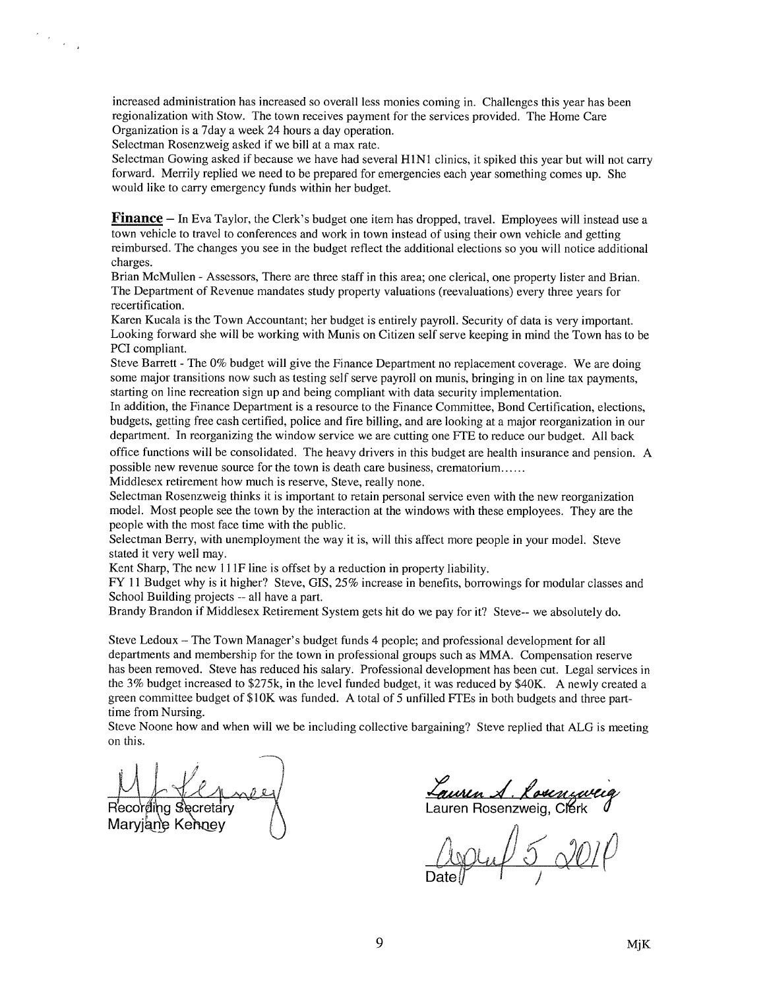increased administration has increased so overall less monies coming in. Challenges this year has been regionalization with Stow. The town receives payment for the services provided. The Home Care Organization is a 7day a week 24 hours a day operation.

Selectman Rosenzweig asked if we bill at a max rate.

 $\frac{d\mathbf{r}}{d\mathbf{r}} = \frac{1}{\sqrt{2\pi}} \frac{d\mathbf{r}}{d\mathbf{r}}$ 

Selectman Gowing asked if because we have had several HINI clinics, it spiked this year but will not carry forward. Merrily replied we need to be prepared for emergencies each year something comes up. She would like to carry emergency funds within her budget.

Finance — In Eva Taylor, the Clerk's budget one item has dropped, travel. Employees will instead use <sup>a</sup> town vehicle to travel to conferences and work in town instead of using their own vehicle and getting reimbursed. The changes you see in the budget reflect the additional elections so you will notice additional charges.

Brian McMullen -Assessors, There are three staff in this area; one clerical, one property lister and Brian. The Department of Revenue mandates study property valuations (reevaluations) every three years for recertification.

Karen Kucala is the Town Accountant; her budget is entirely payroll. Security of data is very important. Looking forward she will be working with Munis on Citizen self serve keeping in mind the Town has to be PCI compliant.

Steve Barrett - The 0% budget will give the Finance Department no replacement coverage. We are doing some major transitions now such as testing self serve payroll on munis, bringing in on line tax payments, starting on line recreation sign up and being compliant with data security implementation.

In addition, the Finance Department is a resource to the Finance Committee, Bond Certification, elections, budgets, getting free cash certified, police and fire billing, and are looking at a major reorganization in our department. In reorganizing the window service we are cutting one FTE to reduce our budget. All back

office functions will be consolidated. The heavy drivers in this budget are health insurance and pension. A possible new revenue source for the town is death care business, crematorium

Middlesex retirement how much is reserve, Steve, really none.

Selectman Rosenzweig thinks it is important to retain personal service even with the new reorganization model. Most people see the town by the interaction at the windows with these employees. They are the people with the most face time with the public.

Selectman Berry, with unemployment the way it is, will this affect more people in your model. Steve stated it very well may.

Kent Sharp, The new II IF line is offset by a reduction in property liability.

FY <sup>11</sup> Budget why is it higher? Steve, GIS, 25% increase in benefits, borrowings for modular classes and School Building projects -- all have a part.

Brandy Brandon if Middlesex Retirement System gets hit do we pay for it? Steve-- we absolutely do.

Steve Ledoux — The Town Manager's budget funds 4 people; and professional development for all departments and membership for the town in professional groups such as MMA. Compensation reserve has been removed. Steve has reduced his salary. Professional development has been cut. Legal services in the 3% budget increased to \$275k, in the level funded budget, it was reduced by \$40K. A newly created a green committee budget of \$1 OK was funded. A total of <sup>5</sup> unfilled FIEs in both budgets and three parttime from Nursing.

Steve Noone how and when will we be including collective bargaining? Steve replied that ALG is meeting on this.

Maryjane Kenney

**Euveln S. Kovenzwei**<br>auren Rosenzweig, Clerk

 $5\,$  OUP Date $\begin{matrix} \downarrow & \downarrow \end{matrix}$